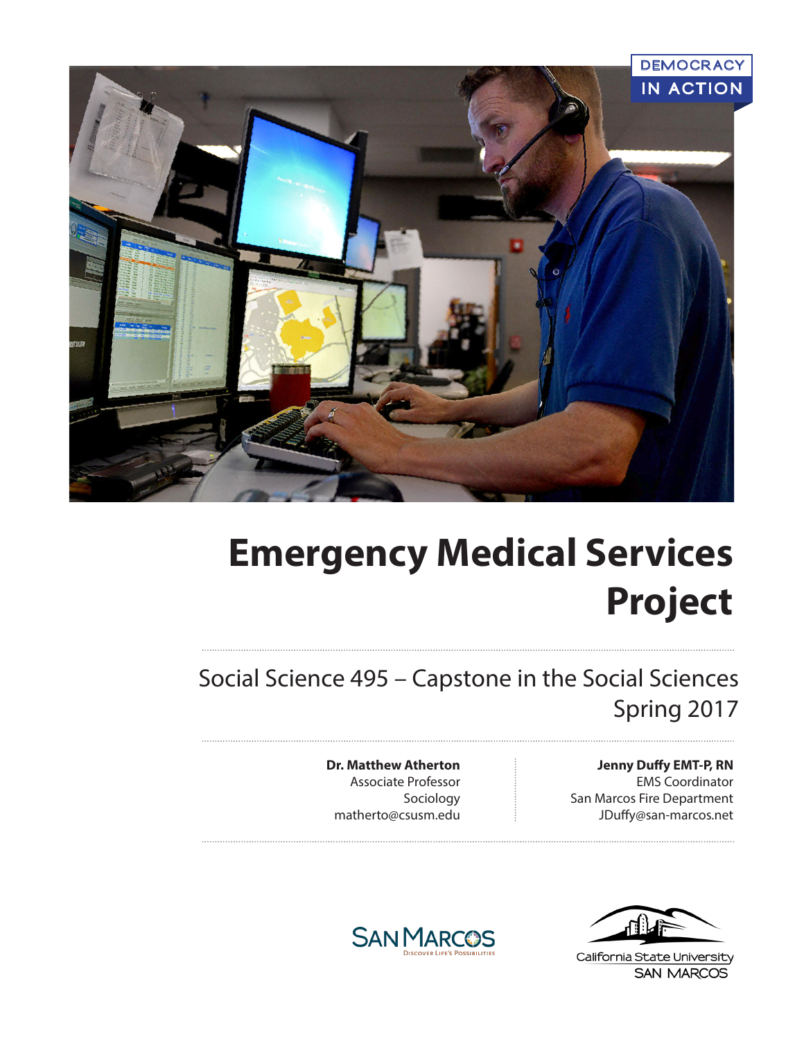

# **Emergency Medical Services Project**

Social Science 495 – Capstone in the Social Sciences Spring 2017

> **Dr. Matthew Atherton** Associate Professor Sociology matherto@csusm.edu

**Jenny Duffy EMT-P, RN**  EMS Coordinator San Marcos Fire Department JDuffy@san-marcos.net



California State University **SAN MARCOS** 

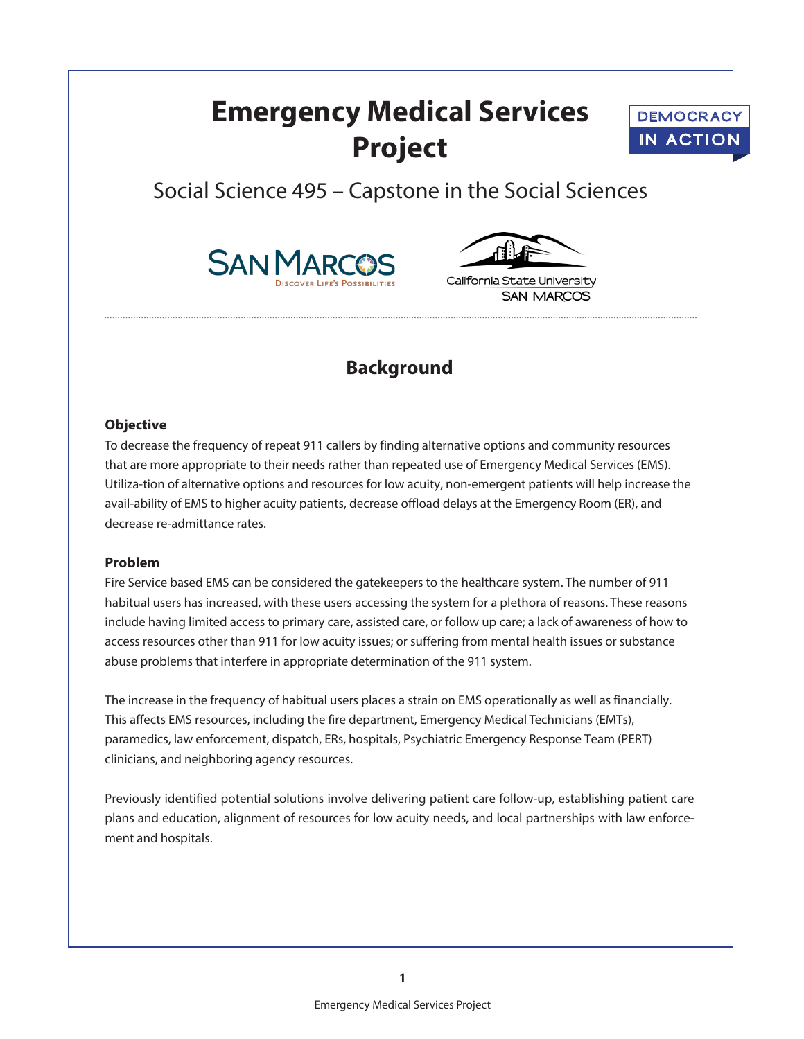## **Emergency Medical Services Project**



## Social Science 495 – Capstone in the Social Sciences





California State University **SAN MARCOS** 

## **Background**

#### **Objective**

To decrease the frequency of repeat 911 callers by finding alternative options and community resources that are more appropriate to their needs rather than repeated use of Emergency Medical Services (EMS). Utiliza-tion of alternative options and resources for low acuity, non-emergent patients will help increase the avail-ability of EMS to higher acuity patients, decrease offload delays at the Emergency Room (ER), and decrease re-admittance rates.

#### **Problem**

Fire Service based EMS can be considered the gatekeepers to the healthcare system. The number of 911 habitual users has increased, with these users accessing the system for a plethora of reasons. These reasons include having limited access to primary care, assisted care, or follow up care; a lack of awareness of how to access resources other than 911 for low acuity issues; or suffering from mental health issues or substance abuse problems that interfere in appropriate determination of the 911 system.

The increase in the frequency of habitual users places a strain on EMS operationally as well as financially. This affects EMS resources, including the fire department, Emergency Medical Technicians (EMTs), paramedics, law enforcement, dispatch, ERs, hospitals, Psychiatric Emergency Response Team (PERT) clinicians, and neighboring agency resources.

Previously identified potential solutions involve delivering patient care follow-up, establishing patient care plans and education, alignment of resources for low acuity needs, and local partnerships with law enforcement and hospitals.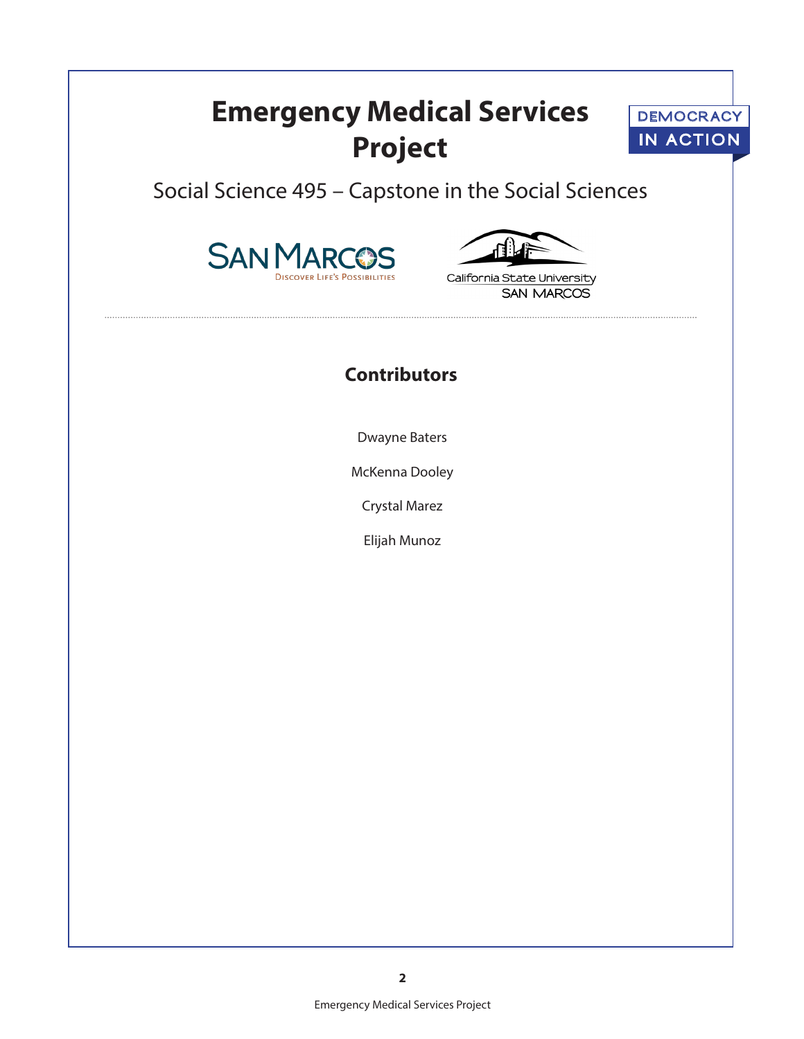## **Emergency Medical Services Project**



Social Science 495 – Capstone in the Social Sciences





California State University **SAN MARCOS** 

## **Contributors**

Dwayne Baters

McKenna Dooley

Crystal Marez

Elijah Munoz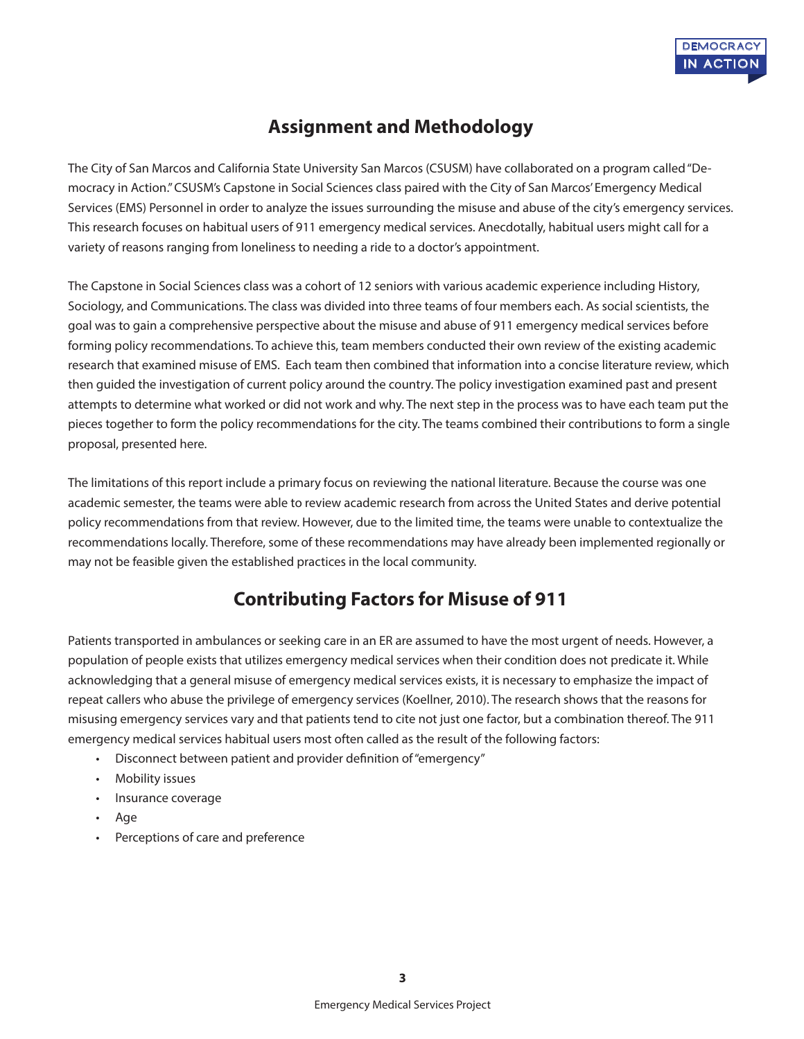

## **Assignment and Methodology**

The City of San Marcos and California State University San Marcos (CSUSM) have collaborated on a program called "Democracy in Action." CSUSM's Capstone in Social Sciences class paired with the City of San Marcos' Emergency Medical Services (EMS) Personnel in order to analyze the issues surrounding the misuse and abuse of the city's emergency services. This research focuses on habitual users of 911 emergency medical services. Anecdotally, habitual users might call for a variety of reasons ranging from loneliness to needing a ride to a doctor's appointment.

The Capstone in Social Sciences class was a cohort of 12 seniors with various academic experience including History, Sociology, and Communications. The class was divided into three teams of four members each. As social scientists, the goal was to gain a comprehensive perspective about the misuse and abuse of 911 emergency medical services before forming policy recommendations. To achieve this, team members conducted their own review of the existing academic research that examined misuse of EMS. Each team then combined that information into a concise literature review, which then guided the investigation of current policy around the country. The policy investigation examined past and present attempts to determine what worked or did not work and why. The next step in the process was to have each team put the pieces together to form the policy recommendations for the city. The teams combined their contributions to form a single proposal, presented here.

The limitations of this report include a primary focus on reviewing the national literature. Because the course was one academic semester, the teams were able to review academic research from across the United States and derive potential policy recommendations from that review. However, due to the limited time, the teams were unable to contextualize the recommendations locally. Therefore, some of these recommendations may have already been implemented regionally or may not be feasible given the established practices in the local community.

## **Contributing Factors for Misuse of 911**

Patients transported in ambulances or seeking care in an ER are assumed to have the most urgent of needs. However, a population of people exists that utilizes emergency medical services when their condition does not predicate it. While acknowledging that a general misuse of emergency medical services exists, it is necessary to emphasize the impact of repeat callers who abuse the privilege of emergency services (Koellner, 2010). The research shows that the reasons for misusing emergency services vary and that patients tend to cite not just one factor, but a combination thereof. The 911 emergency medical services habitual users most often called as the result of the following factors:

- Disconnect between patient and provider definition of "emergency"
- Mobility issues
- Insurance coverage
- Age
- Perceptions of care and preference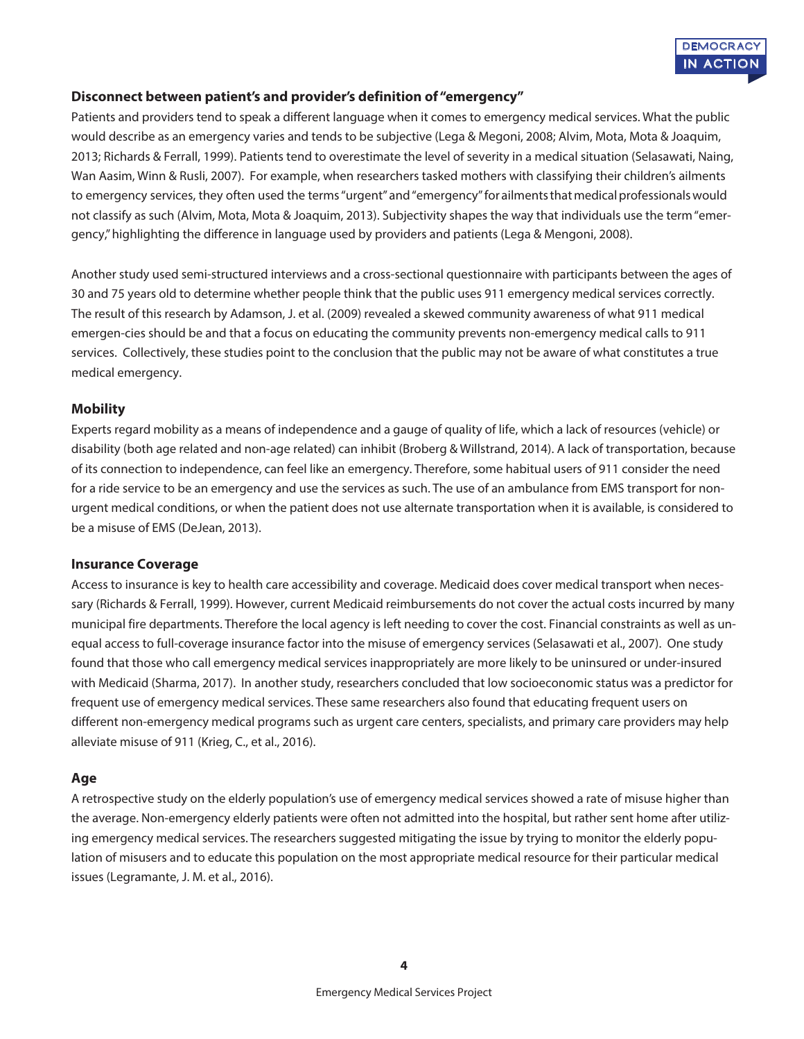

#### **Disconnect between patient's and provider's definition of "emergency"**

Patients and providers tend to speak a different language when it comes to emergency medical services. What the public would describe as an emergency varies and tends to be subjective (Lega & Megoni, 2008; Alvim, Mota, Mota & Joaquim, 2013; Richards & Ferrall, 1999). Patients tend to overestimate the level of severity in a medical situation (Selasawati, Naing, Wan Aasim, Winn & Rusli, 2007). For example, when researchers tasked mothers with classifying their children's ailments to emergency services, they often used the terms "urgent" and "emergency" for ailments that medical professionals would not classify as such (Alvim, Mota, Mota & Joaquim, 2013). Subjectivity shapes the way that individuals use the term "emergency," highlighting the difference in language used by providers and patients (Lega & Mengoni, 2008).

Another study used semi-structured interviews and a cross-sectional questionnaire with participants between the ages of 30 and 75 years old to determine whether people think that the public uses 911 emergency medical services correctly. The result of this research by Adamson, J. et al. (2009) revealed a skewed community awareness of what 911 medical emergen-cies should be and that a focus on educating the community prevents non-emergency medical calls to 911 services. Collectively, these studies point to the conclusion that the public may not be aware of what constitutes a true medical emergency.

#### **Mobility**

Experts regard mobility as a means of independence and a gauge of quality of life, which a lack of resources (vehicle) or disability (both age related and non-age related) can inhibit (Broberg & Willstrand, 2014). A lack of transportation, because of its connection to independence, can feel like an emergency. Therefore, some habitual users of 911 consider the need for a ride service to be an emergency and use the services as such. The use of an ambulance from EMS transport for nonurgent medical conditions, or when the patient does not use alternate transportation when it is available, is considered to be a misuse of EMS (DeJean, 2013).

#### **Insurance Coverage**

Access to insurance is key to health care accessibility and coverage. Medicaid does cover medical transport when necessary (Richards & Ferrall, 1999). However, current Medicaid reimbursements do not cover the actual costs incurred by many municipal fire departments. Therefore the local agency is left needing to cover the cost. Financial constraints as well as unequal access to full-coverage insurance factor into the misuse of emergency services (Selasawati et al., 2007). One study found that those who call emergency medical services inappropriately are more likely to be uninsured or under-insured with Medicaid (Sharma, 2017). In another study, researchers concluded that low socioeconomic status was a predictor for frequent use of emergency medical services. These same researchers also found that educating frequent users on different non-emergency medical programs such as urgent care centers, specialists, and primary care providers may help alleviate misuse of 911 (Krieg, C., et al., 2016).

#### **Age**

A retrospective study on the elderly population's use of emergency medical services showed a rate of misuse higher than the average. Non-emergency elderly patients were often not admitted into the hospital, but rather sent home after utilizing emergency medical services. The researchers suggested mitigating the issue by trying to monitor the elderly population of misusers and to educate this population on the most appropriate medical resource for their particular medical issues (Legramante, J. M. et al., 2016).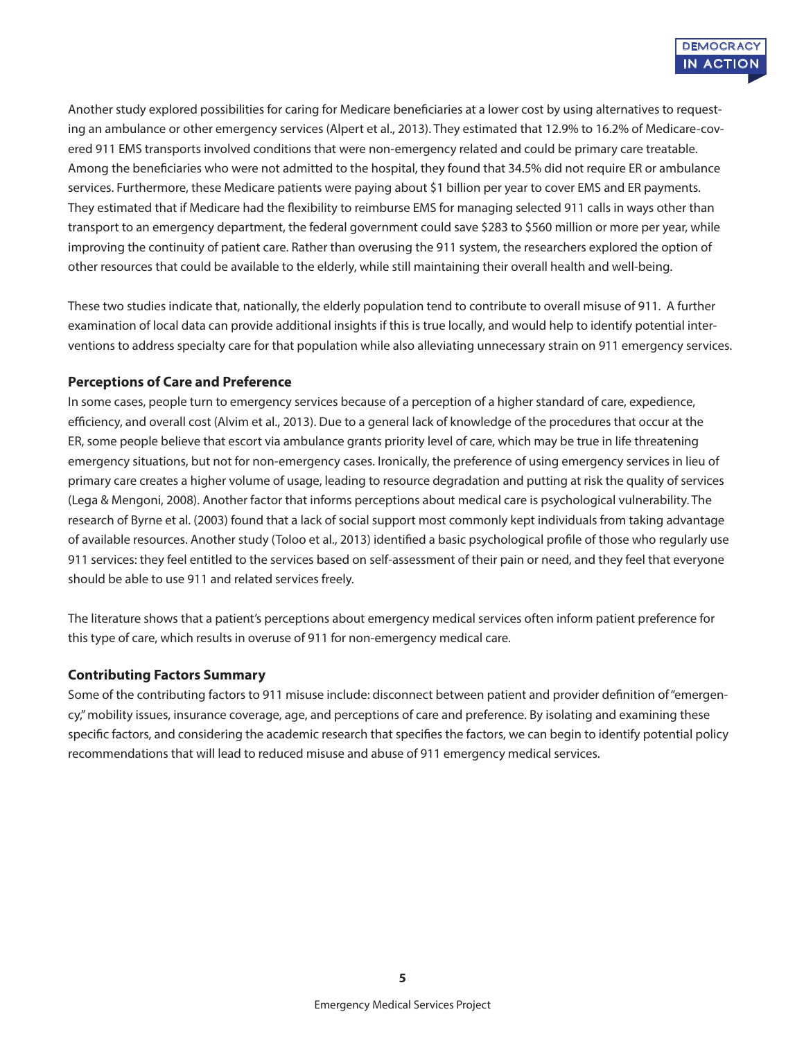Another study explored possibilities for caring for Medicare beneficiaries at a lower cost by using alternatives to requesting an ambulance or other emergency services (Alpert et al., 2013). They estimated that 12.9% to 16.2% of Medicare-covered 911 EMS transports involved conditions that were non-emergency related and could be primary care treatable. Among the beneficiaries who were not admitted to the hospital, they found that 34.5% did not require ER or ambulance services. Furthermore, these Medicare patients were paying about \$1 billion per year to cover EMS and ER payments. They estimated that if Medicare had the flexibility to reimburse EMS for managing selected 911 calls in ways other than transport to an emergency department, the federal government could save \$283 to \$560 million or more per year, while improving the continuity of patient care. Rather than overusing the 911 system, the researchers explored the option of other resources that could be available to the elderly, while still maintaining their overall health and well-being.

These two studies indicate that, nationally, the elderly population tend to contribute to overall misuse of 911. A further examination of local data can provide additional insights if this is true locally, and would help to identify potential interventions to address specialty care for that population while also alleviating unnecessary strain on 911 emergency services.

#### **Perceptions of Care and Preference**

In some cases, people turn to emergency services because of a perception of a higher standard of care, expedience, efficiency, and overall cost (Alvim et al., 2013). Due to a general lack of knowledge of the procedures that occur at the ER, some people believe that escort via ambulance grants priority level of care, which may be true in life threatening emergency situations, but not for non-emergency cases. Ironically, the preference of using emergency services in lieu of primary care creates a higher volume of usage, leading to resource degradation and putting at risk the quality of services (Lega & Mengoni, 2008). Another factor that informs perceptions about medical care is psychological vulnerability. The research of Byrne et al. (2003) found that a lack of social support most commonly kept individuals from taking advantage of available resources. Another study (Toloo et al., 2013) identified a basic psychological profile of those who regularly use 911 services: they feel entitled to the services based on self-assessment of their pain or need, and they feel that everyone should be able to use 911 and related services freely.

The literature shows that a patient's perceptions about emergency medical services often inform patient preference for this type of care, which results in overuse of 911 for non-emergency medical care.

#### **Contributing Factors Summary**

Some of the contributing factors to 911 misuse include: disconnect between patient and provider definition of "emergency," mobility issues, insurance coverage, age, and perceptions of care and preference. By isolating and examining these specific factors, and considering the academic research that specifies the factors, we can begin to identify potential policy recommendations that will lead to reduced misuse and abuse of 911 emergency medical services.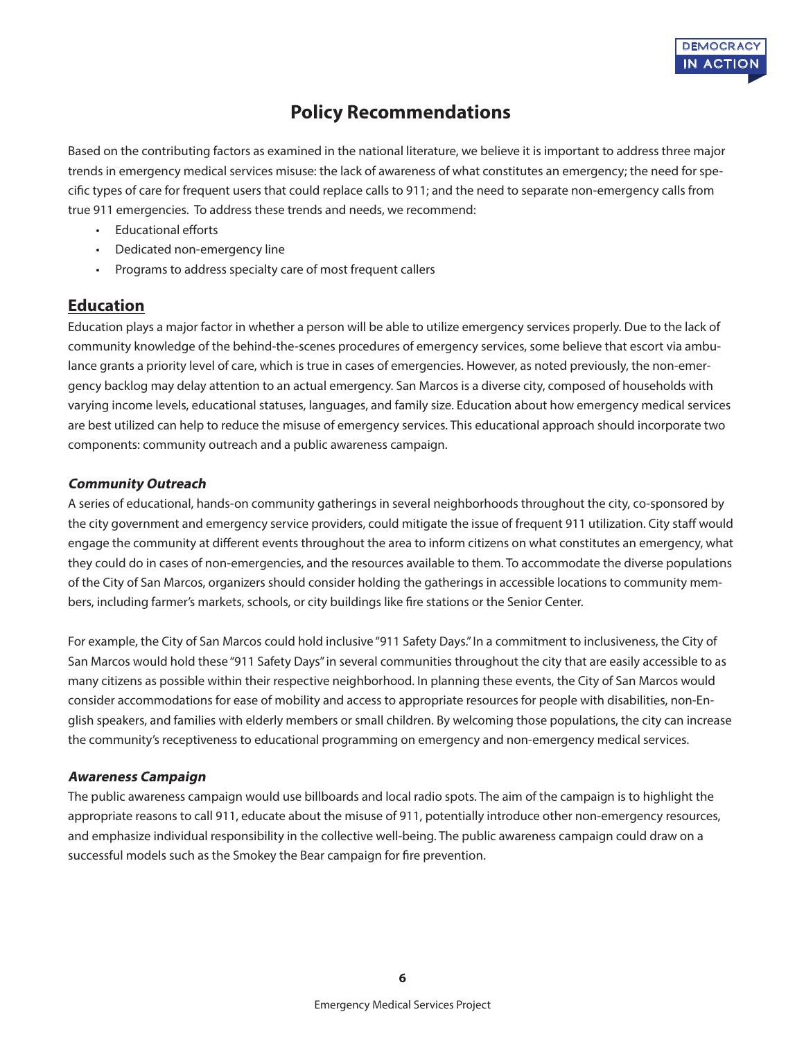

## **Policy Recommendations**

Based on the contributing factors as examined in the national literature, we believe it is important to address three major trends in emergency medical services misuse: the lack of awareness of what constitutes an emergency; the need for specific types of care for frequent users that could replace calls to 911; and the need to separate non-emergency calls from true 911 emergencies. To address these trends and needs, we recommend:

- Educational efforts
- Dedicated non-emergency line
- Programs to address specialty care of most frequent callers

#### **Education**

Education plays a major factor in whether a person will be able to utilize emergency services properly. Due to the lack of community knowledge of the behind-the-scenes procedures of emergency services, some believe that escort via ambulance grants a priority level of care, which is true in cases of emergencies. However, as noted previously, the non-emergency backlog may delay attention to an actual emergency. San Marcos is a diverse city, composed of households with varying income levels, educational statuses, languages, and family size. Education about how emergency medical services are best utilized can help to reduce the misuse of emergency services. This educational approach should incorporate two components: community outreach and a public awareness campaign.

#### **Community Outreach**

A series of educational, hands-on community gatherings in several neighborhoods throughout the city, co-sponsored by the city government and emergency service providers, could mitigate the issue of frequent 911 utilization. City staff would engage the community at different events throughout the area to inform citizens on what constitutes an emergency, what they could do in cases of non-emergencies, and the resources available to them. To accommodate the diverse populations of the City of San Marcos, organizers should consider holding the gatherings in accessible locations to community members, including farmer's markets, schools, or city buildings like fire stations or the Senior Center.

For example, the City of San Marcos could hold inclusive "911 Safety Days." In a commitment to inclusiveness, the City of San Marcos would hold these "911 Safety Days" in several communities throughout the city that are easily accessible to as many citizens as possible within their respective neighborhood. In planning these events, the City of San Marcos would consider accommodations for ease of mobility and access to appropriate resources for people with disabilities, non-English speakers, and families with elderly members or small children. By welcoming those populations, the city can increase the community's receptiveness to educational programming on emergency and non-emergency medical services.

#### **Awareness Campaign**

The public awareness campaign would use billboards and local radio spots. The aim of the campaign is to highlight the appropriate reasons to call 911, educate about the misuse of 911, potentially introduce other non-emergency resources, and emphasize individual responsibility in the collective well-being. The public awareness campaign could draw on a successful models such as the Smokey the Bear campaign for fire prevention.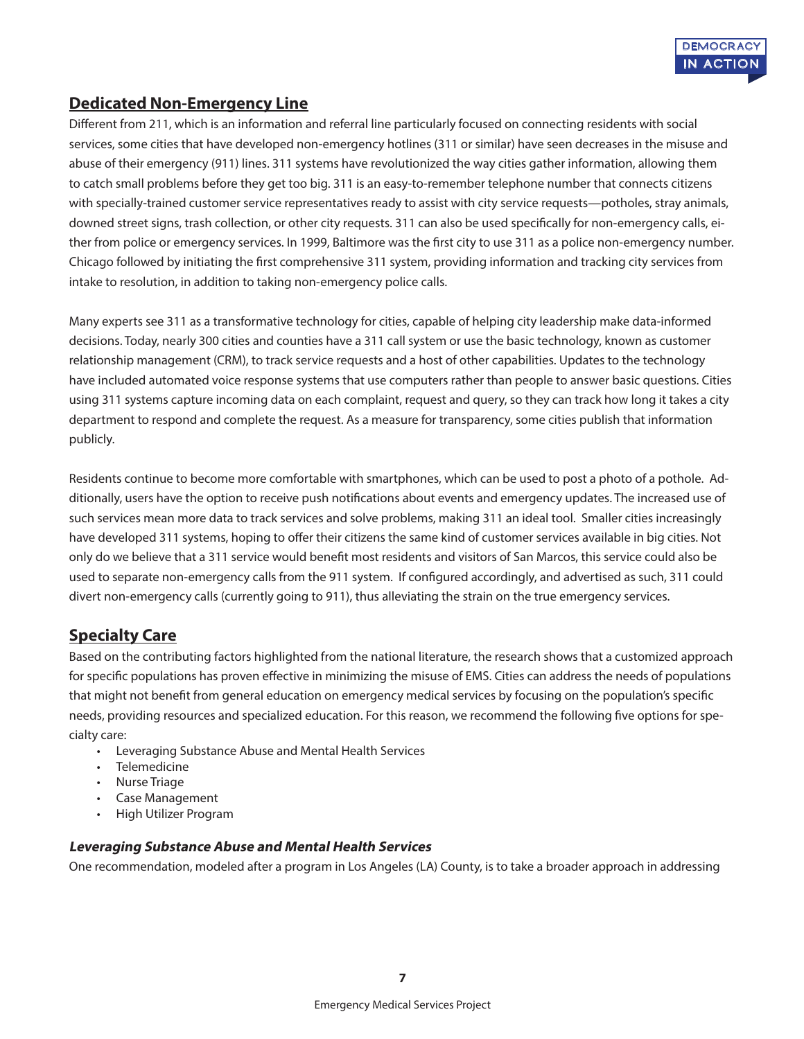### **Dedicated Non-Emergency Line**

Different from 211, which is an information and referral line particularly focused on connecting residents with social services, some cities that have developed non-emergency hotlines (311 or similar) have seen decreases in the misuse and abuse of their emergency (911) lines. 311 systems have revolutionized the way cities gather information, allowing them to catch small problems before they get too big. 311 is an easy-to-remember telephone number that connects citizens with specially-trained customer service representatives ready to assist with city service requests—potholes, stray animals, downed street signs, trash collection, or other city requests. 311 can also be used specifically for non-emergency calls, either from police or emergency services. In 1999, Baltimore was the first city to use 311 as a police non-emergency number. Chicago followed by initiating the first comprehensive 311 system, providing information and tracking city services from intake to resolution, in addition to taking non-emergency police calls.

Many experts see 311 as a transformative technology for cities, capable of helping city leadership make data-informed decisions. Today, nearly 300 cities and counties have a 311 call system or use the basic technology, known as customer relationship management (CRM), to track service requests and a host of other capabilities. Updates to the technology have included automated voice response systems that use computers rather than people to answer basic questions. Cities using 311 systems capture incoming data on each complaint, request and query, so they can track how long it takes a city department to respond and complete the request. As a measure for transparency, some cities publish that information publicly.

Residents continue to become more comfortable with smartphones, which can be used to post a photo of a pothole. Additionally, users have the option to receive push notifications about events and emergency updates. The increased use of such services mean more data to track services and solve problems, making 311 an ideal tool. Smaller cities increasingly have developed 311 systems, hoping to offer their citizens the same kind of customer services available in big cities. Not only do we believe that a 311 service would benefit most residents and visitors of San Marcos, this service could also be used to separate non-emergency calls from the 911 system. If configured accordingly, and advertised as such, 311 could divert non-emergency calls (currently going to 911), thus alleviating the strain on the true emergency services.

### **Specialty Care**

Based on the contributing factors highlighted from the national literature, the research shows that a customized approach for specific populations has proven effective in minimizing the misuse of EMS. Cities can address the needs of populations that might not benefit from general education on emergency medical services by focusing on the population's specific needs, providing resources and specialized education. For this reason, we recommend the following five options for specialty care:

- Leveraging Substance Abuse and Mental Health Services
- Telemedicine
- Nurse Triage
- Case Management
- High Utilizer Program

#### **Leveraging Substance Abuse and Mental Health Services**

One recommendation, modeled after a program in Los Angeles (LA) County, is to take a broader approach in addressing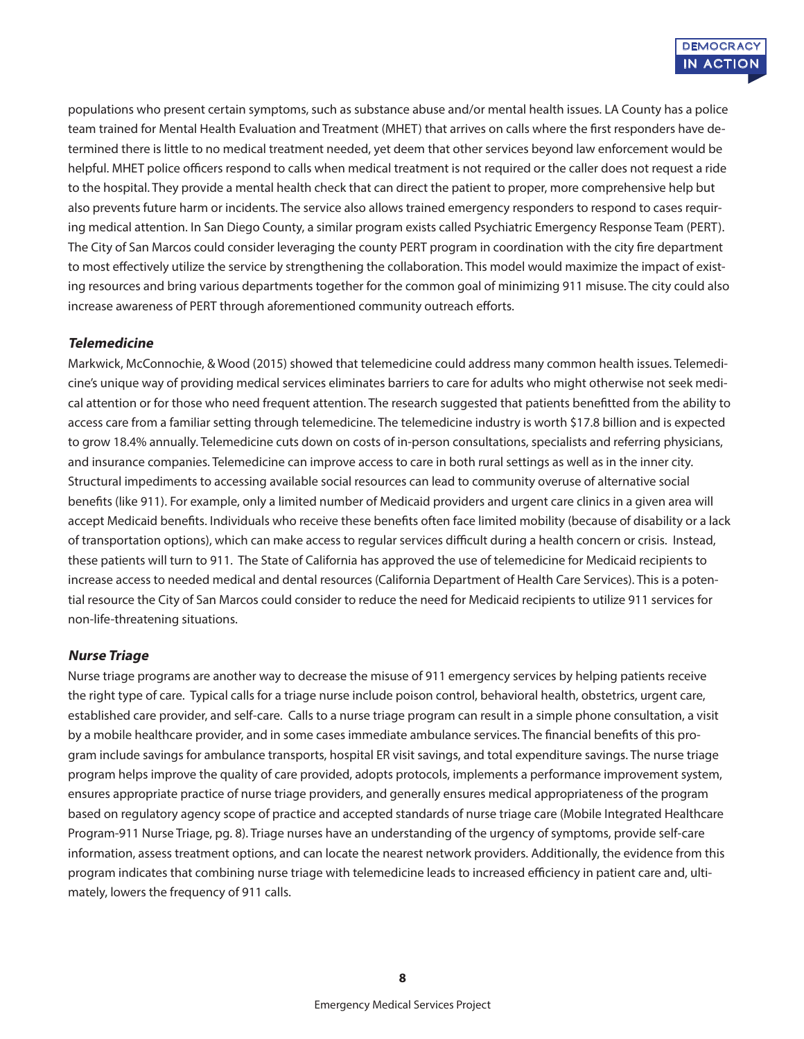populations who present certain symptoms, such as substance abuse and/or mental health issues. LA County has a police team trained for Mental Health Evaluation and Treatment (MHET) that arrives on calls where the first responders have determined there is little to no medical treatment needed, yet deem that other services beyond law enforcement would be helpful. MHET police officers respond to calls when medical treatment is not required or the caller does not request a ride to the hospital. They provide a mental health check that can direct the patient to proper, more comprehensive help but also prevents future harm or incidents. The service also allows trained emergency responders to respond to cases requiring medical attention. In San Diego County, a similar program exists called Psychiatric Emergency Response Team (PERT). The City of San Marcos could consider leveraging the county PERT program in coordination with the city fire department to most effectively utilize the service by strengthening the collaboration. This model would maximize the impact of existing resources and bring various departments together for the common goal of minimizing 911 misuse. The city could also increase awareness of PERT through aforementioned community outreach efforts.

#### **Telemedicine**

Markwick, McConnochie, & Wood (2015) showed that telemedicine could address many common health issues. Telemedicine's unique way of providing medical services eliminates barriers to care for adults who might otherwise not seek medical attention or for those who need frequent attention. The research suggested that patients benefitted from the ability to access care from a familiar setting through telemedicine. The telemedicine industry is worth \$17.8 billion and is expected to grow 18.4% annually. Telemedicine cuts down on costs of in-person consultations, specialists and referring physicians, and insurance companies. Telemedicine can improve access to care in both rural settings as well as in the inner city. Structural impediments to accessing available social resources can lead to community overuse of alternative social benefits (like 911). For example, only a limited number of Medicaid providers and urgent care clinics in a given area will accept Medicaid benefits. Individuals who receive these benefits often face limited mobility (because of disability or a lack of transportation options), which can make access to regular services difficult during a health concern or crisis. Instead, these patients will turn to 911. The State of California has approved the use of telemedicine for Medicaid recipients to increase access to needed medical and dental resources (California Department of Health Care Services). This is a potential resource the City of San Marcos could consider to reduce the need for Medicaid recipients to utilize 911 services for non-life-threatening situations.

#### **Nurse Triage**

Nurse triage programs are another way to decrease the misuse of 911 emergency services by helping patients receive the right type of care. Typical calls for a triage nurse include poison control, behavioral health, obstetrics, urgent care, established care provider, and self-care. Calls to a nurse triage program can result in a simple phone consultation, a visit by a mobile healthcare provider, and in some cases immediate ambulance services. The financial benefits of this program include savings for ambulance transports, hospital ER visit savings, and total expenditure savings. The nurse triage program helps improve the quality of care provided, adopts protocols, implements a performance improvement system, ensures appropriate practice of nurse triage providers, and generally ensures medical appropriateness of the program based on regulatory agency scope of practice and accepted standards of nurse triage care (Mobile Integrated Healthcare Program-911 Nurse Triage, pg. 8). Triage nurses have an understanding of the urgency of symptoms, provide self-care information, assess treatment options, and can locate the nearest network providers. Additionally, the evidence from this program indicates that combining nurse triage with telemedicine leads to increased efficiency in patient care and, ultimately, lowers the frequency of 911 calls.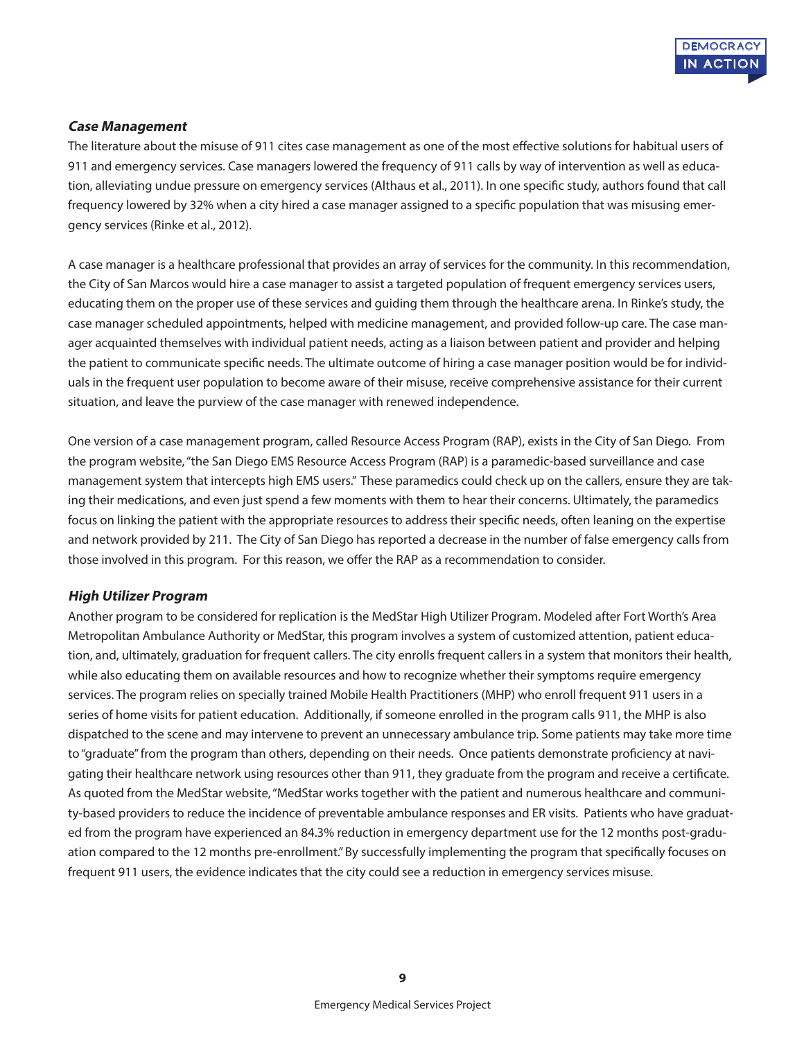

#### **Case Management**

The literature about the misuse of 911 cites case management as one of the most effective solutions for habitual users of 911 and emergency services. Case managers lowered the frequency of 911 calls by way of intervention as well as education, alleviating undue pressure on emergency services (Althaus et al., 2011). In one specific study, authors found that call frequency lowered by 32% when a city hired a case manager assigned to a specific population that was misusing emergency services (Rinke et al., 2012).

A case manager is a healthcare professional that provides an array of services for the community. In this recommendation, the City of San Marcos would hire a case manager to assist a targeted population of frequent emergency services users, educating them on the proper use of these services and guiding them through the healthcare arena. In Rinke's study, the case manager scheduled appointments, helped with medicine management, and provided follow-up care. The case manager acquainted themselves with individual patient needs, acting as a liaison between patient and provider and helping the patient to communicate specific needs. The ultimate outcome of hiring a case manager position would be for individuals in the frequent user population to become aware of their misuse, receive comprehensive assistance for their current situation, and leave the purview of the case manager with renewed independence.

One version of a case management program, called Resource Access Program (RAP), exists in the City of San Diego. From the program website, "the San Diego EMS Resource Access Program (RAP) is a paramedic-based surveillance and case management system that intercepts high EMS users." These paramedics could check up on the callers, ensure they are taking their medications, and even just spend a few moments with them to hear their concerns. Ultimately, the paramedics focus on linking the patient with the appropriate resources to address their specific needs, often leaning on the expertise and network provided by 211. The City of San Diego has reported a decrease in the number of false emergency calls from those involved in this program. For this reason, we offer the RAP as a recommendation to consider.

#### **High Utilizer Program**

Another program to be considered for replication is the MedStar High Utilizer Program. Modeled after Fort Worth's Area Metropolitan Ambulance Authority or MedStar, this program involves a system of customized attention, patient education, and, ultimately, graduation for frequent callers. The city enrolls frequent callers in a system that monitors their health, while also educating them on available resources and how to recognize whether their symptoms require emergency services. The program relies on specially trained Mobile Health Practitioners (MHP) who enroll frequent 911 users in a series of home visits for patient education. Additionally, if someone enrolled in the program calls 911, the MHP is also dispatched to the scene and may intervene to prevent an unnecessary ambulance trip. Some patients may take more time to "graduate" from the program than others, depending on their needs. Once patients demonstrate proficiency at navigating their healthcare network using resources other than 911, they graduate from the program and receive a certificate. As quoted from the MedStar website, "MedStar works together with the patient and numerous healthcare and community-based providers to reduce the incidence of preventable ambulance responses and ER visits. Patients who have graduated from the program have experienced an 84.3% reduction in emergency department use for the 12 months post-graduation compared to the 12 months pre-enrollment." By successfully implementing the program that specifically focuses on frequent 911 users, the evidence indicates that the city could see a reduction in emergency services misuse.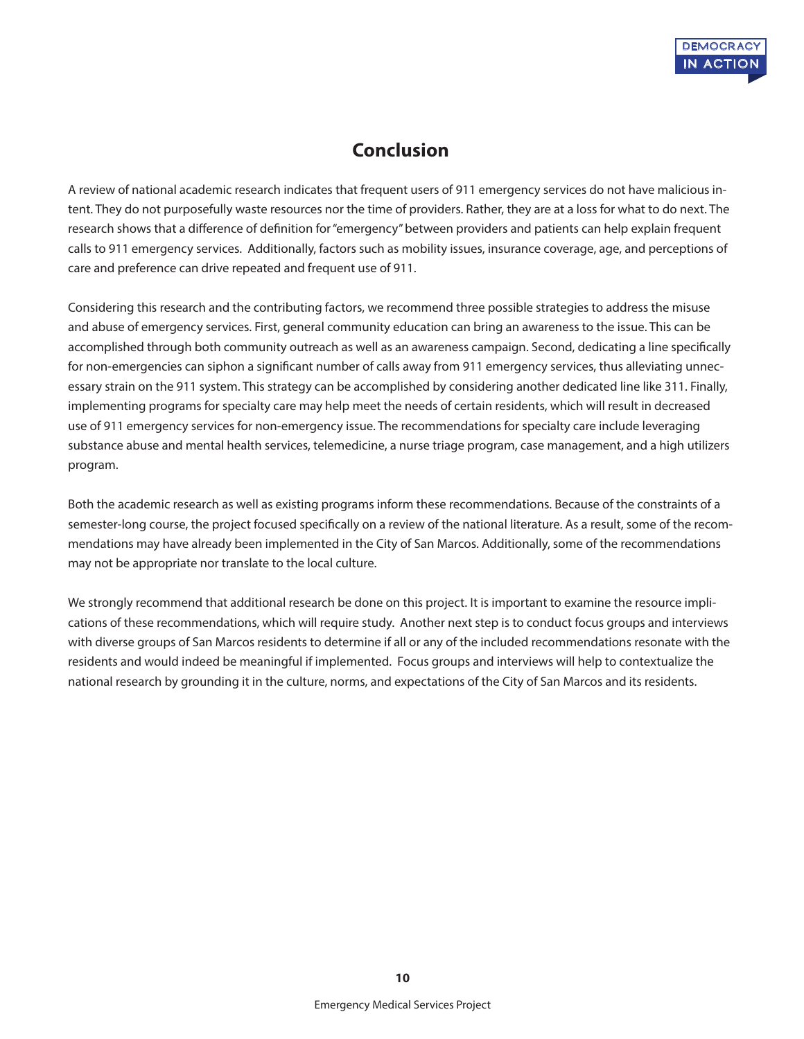## **Conclusion**

A review of national academic research indicates that frequent users of 911 emergency services do not have malicious intent. They do not purposefully waste resources nor the time of providers. Rather, they are at a loss for what to do next. The research shows that a difference of definition for "emergency" between providers and patients can help explain frequent calls to 911 emergency services. Additionally, factors such as mobility issues, insurance coverage, age, and perceptions of care and preference can drive repeated and frequent use of 911.

Considering this research and the contributing factors, we recommend three possible strategies to address the misuse and abuse of emergency services. First, general community education can bring an awareness to the issue. This can be accomplished through both community outreach as well as an awareness campaign. Second, dedicating a line specifically for non-emergencies can siphon a significant number of calls away from 911 emergency services, thus alleviating unnecessary strain on the 911 system. This strategy can be accomplished by considering another dedicated line like 311. Finally, implementing programs for specialty care may help meet the needs of certain residents, which will result in decreased use of 911 emergency services for non-emergency issue. The recommendations for specialty care include leveraging substance abuse and mental health services, telemedicine, a nurse triage program, case management, and a high utilizers program.

Both the academic research as well as existing programs inform these recommendations. Because of the constraints of a semester-long course, the project focused specifically on a review of the national literature. As a result, some of the recommendations may have already been implemented in the City of San Marcos. Additionally, some of the recommendations may not be appropriate nor translate to the local culture.

We strongly recommend that additional research be done on this project. It is important to examine the resource implications of these recommendations, which will require study. Another next step is to conduct focus groups and interviews with diverse groups of San Marcos residents to determine if all or any of the included recommendations resonate with the residents and would indeed be meaningful if implemented. Focus groups and interviews will help to contextualize the national research by grounding it in the culture, norms, and expectations of the City of San Marcos and its residents.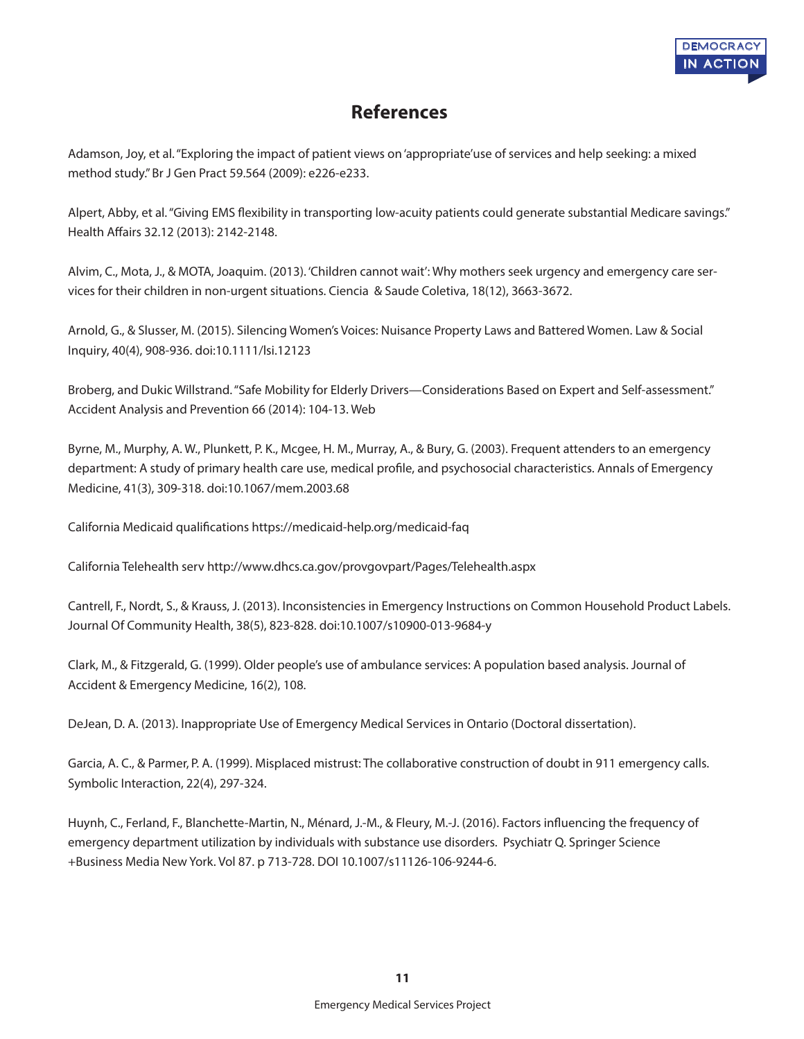

## **References**

Adamson, Joy, et al. "Exploring the impact of patient views on 'appropriate'use of services and help seeking: a mixed method study." Br J Gen Pract 59.564 (2009): e226-e233.

Alpert, Abby, et al. "Giving EMS flexibility in transporting low-acuity patients could generate substantial Medicare savings." Health Affairs 32.12 (2013): 2142-2148.

Alvim, C., Mota, J., & MOTA, Joaquim. (2013). 'Children cannot wait': Why mothers seek urgency and emergency care services for their children in non-urgent situations. Ciencia & Saude Coletiva, 18(12), 3663-3672.

Arnold, G., & Slusser, M. (2015). Silencing Women's Voices: Nuisance Property Laws and Battered Women. Law & Social Inquiry, 40(4), 908-936. doi:10.1111/lsi.12123

Broberg, and Dukic Willstrand. "Safe Mobility for Elderly Drivers—Considerations Based on Expert and Self-assessment." Accident Analysis and Prevention 66 (2014): 104-13. Web

Byrne, M., Murphy, A. W., Plunkett, P. K., Mcgee, H. M., Murray, A., & Bury, G. (2003). Frequent attenders to an emergency department: A study of primary health care use, medical profile, and psychosocial characteristics. Annals of Emergency Medicine, 41(3), 309-318. doi:10.1067/mem.2003.68

California Medicaid qualifications https://medicaid-help.org/medicaid-faq

California Telehealth serv http://www.dhcs.ca.gov/provgovpart/Pages/Telehealth.aspx

Cantrell, F., Nordt, S., & Krauss, J. (2013). Inconsistencies in Emergency Instructions on Common Household Product Labels. Journal Of Community Health, 38(5), 823-828. doi:10.1007/s10900-013-9684-y

Clark, M., & Fitzgerald, G. (1999). Older people's use of ambulance services: A population based analysis. Journal of Accident & Emergency Medicine, 16(2), 108.

DeJean, D. A. (2013). Inappropriate Use of Emergency Medical Services in Ontario (Doctoral dissertation).

Garcia, A. C., & Parmer, P. A. (1999). Misplaced mistrust: The collaborative construction of doubt in 911 emergency calls. Symbolic Interaction, 22(4), 297-324.

Huynh, C., Ferland, F., Blanchette-Martin, N., Ménard, J.-M., & Fleury, M.-J. (2016). Factors influencing the frequency of emergency department utilization by individuals with substance use disorders. Psychiatr Q. Springer Science +Business Media New York. Vol 87. p 713-728. DOI 10.1007/s11126-106-9244-6.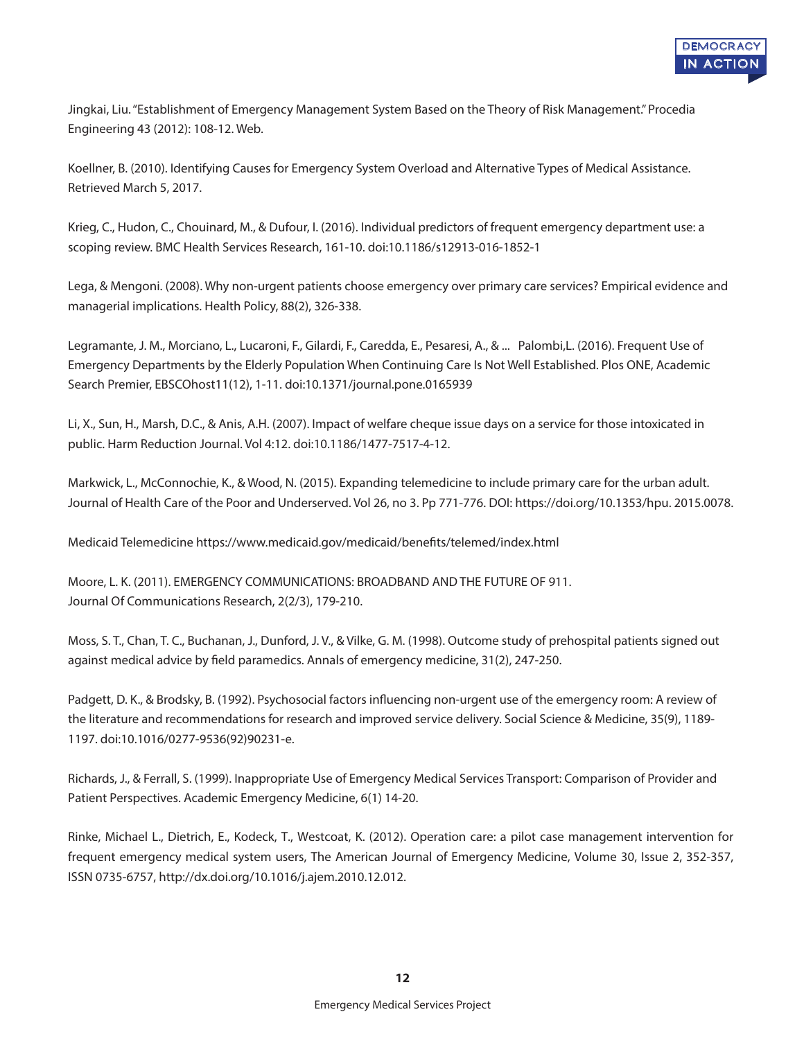

Jingkai, Liu. "Establishment of Emergency Management System Based on the Theory of Risk Management." Procedia Engineering 43 (2012): 108-12. Web.

Koellner, B. (2010). Identifying Causes for Emergency System Overload and Alternative Types of Medical Assistance. Retrieved March 5, 2017.

Krieg, C., Hudon, C., Chouinard, M., & Dufour, I. (2016). Individual predictors of frequent emergency department use: a scoping review. BMC Health Services Research, 161-10. doi:10.1186/s12913-016-1852-1

Lega, & Mengoni. (2008). Why non-urgent patients choose emergency over primary care services? Empirical evidence and managerial implications. Health Policy, 88(2), 326-338.

Legramante, J. M., Morciano, L., Lucaroni, F., Gilardi, F., Caredda, E., Pesaresi, A., & ... Palombi,L. (2016). Frequent Use of Emergency Departments by the Elderly Population When Continuing Care Is Not Well Established. Plos ONE, Academic Search Premier, EBSCOhost11(12), 1-11. doi:10.1371/journal.pone.0165939

Li, X., Sun, H., Marsh, D.C., & Anis, A.H. (2007). Impact of welfare cheque issue days on a service for those intoxicated in public. Harm Reduction Journal. Vol 4:12. doi:10.1186/1477-7517-4-12.

Markwick, L., McConnochie, K., & Wood, N. (2015). Expanding telemedicine to include primary care for the urban adult. Journal of Health Care of the Poor and Underserved. Vol 26, no 3. Pp 771-776. DOI: https://doi.org/10.1353/hpu. 2015.0078.

Medicaid Telemedicine https://www.medicaid.gov/medicaid/benefits/telemed/index.html

Moore, L. K. (2011). EMERGENCY COMMUNICATIONS: BROADBAND AND THE FUTURE OF 911. Journal Of Communications Research, 2(2/3), 179-210.

Moss, S. T., Chan, T. C., Buchanan, J., Dunford, J. V., & Vilke, G. M. (1998). Outcome study of prehospital patients signed out against medical advice by field paramedics. Annals of emergency medicine, 31(2), 247-250.

Padgett, D. K., & Brodsky, B. (1992). Psychosocial factors influencing non-urgent use of the emergency room: A review of the literature and recommendations for research and improved service delivery. Social Science & Medicine, 35(9), 1189- 1197. doi:10.1016/0277-9536(92)90231-e.

Richards, J., & Ferrall, S. (1999). Inappropriate Use of Emergency Medical Services Transport: Comparison of Provider and Patient Perspectives. Academic Emergency Medicine, 6(1) 14-20.

Rinke, Michael L., Dietrich, E., Kodeck, T., Westcoat, K. (2012). Operation care: a pilot case management intervention for frequent emergency medical system users, The American Journal of Emergency Medicine, Volume 30, Issue 2, 352-357, ISSN 0735-6757, http://dx.doi.org/10.1016/j.ajem.2010.12.012.